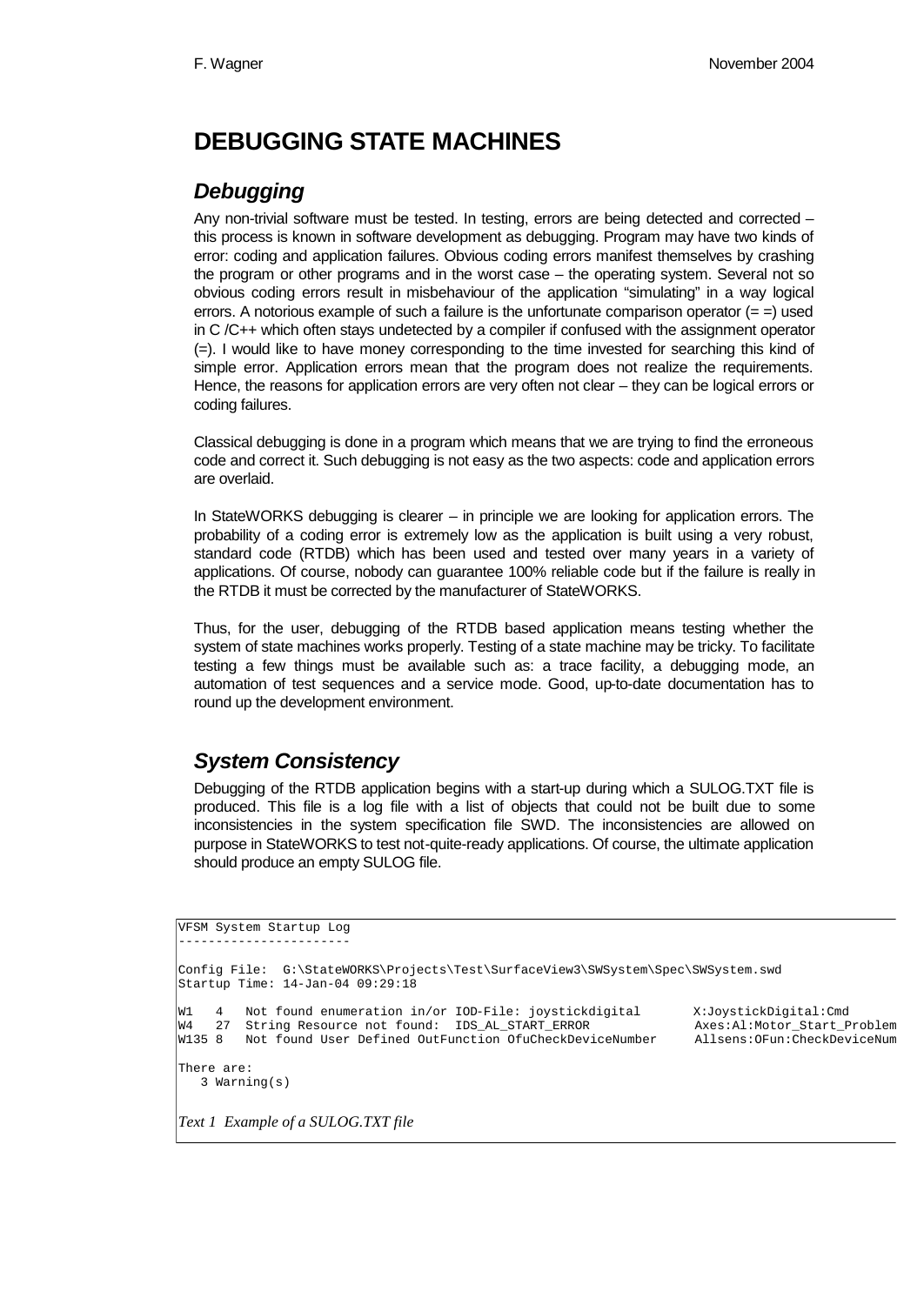# **DEBUGGING STATE MACHINES**

### *Debugging*

Any non-trivial software must be tested. In testing, errors are being detected and corrected – this process is known in software development as debugging. Program may have two kinds of error: coding and application failures. Obvious coding errors manifest themselves by crashing the program or other programs and in the worst case – the operating system. Several not so obvious coding errors result in misbehaviour of the application "simulating" in a way logical errors. A notorious example of such a failure is the unfortunate comparison operator  $(=$  =) used in C /C++ which often stays undetected by a compiler if confused with the assignment operator (=). I would like to have money corresponding to the time invested for searching this kind of simple error. Application errors mean that the program does not realize the requirements. Hence, the reasons for application errors are very often not clear – they can be logical errors or coding failures.

Classical debugging is done in a program which means that we are trying to find the erroneous code and correct it. Such debugging is not easy as the two aspects: code and application errors are overlaid.

In StateWORKS debugging is clearer – in principle we are looking for application errors. The probability of a coding error is extremely low as the application is built using a very robust, standard code (RTDB) which has been used and tested over many years in a variety of applications. Of course, nobody can guarantee 100% reliable code but if the failure is really in the RTDB it must be corrected by the manufacturer of StateWORKS.

Thus, for the user, debugging of the RTDB based application means testing whether the system of state machines works properly. Testing of a state machine may be tricky. To facilitate testing a few things must be available such as: a trace facility, a debugging mode, an automation of test sequences and a service mode. Good, up-to-date documentation has to round up the development environment.

## *System Consistency*

Debugging of the RTDB application begins with a start-up during which a SULOG.TXT file is produced. This file is a log file with a list of objects that could not be built due to some inconsistencies in the system specification file SWD. The inconsistencies are allowed on purpose in StateWORKS to test not-quite-ready applications. Of course, the ultimate application should produce an empty SULOG file.

```
VFSM System Startup Log
-----------------------
Config File: G:\StateWORKS\Projects\Test\SurfaceView3\SWSystem\Spec\SWSystem.swd
Startup Time: 14-Jan-04 09:29:18
W1 4 Not found enumeration in/or IOD-File: joystickdigital X:JoystickDigital:Cmd<br>W4 27 String Resource not found: IDS_AL_START_ERROR Axes:Al:Motor_Start_Problem
         W4 27 String Resource not found: IDS_AL_START_ERROR Axes:Al:Motor_Start_Problem
W135 8 Not found User Defined OutFunction OfuCheckDeviceNumber
There are:
    3 Warning(s)
Text 1 Example of a SULOG.TXT file
```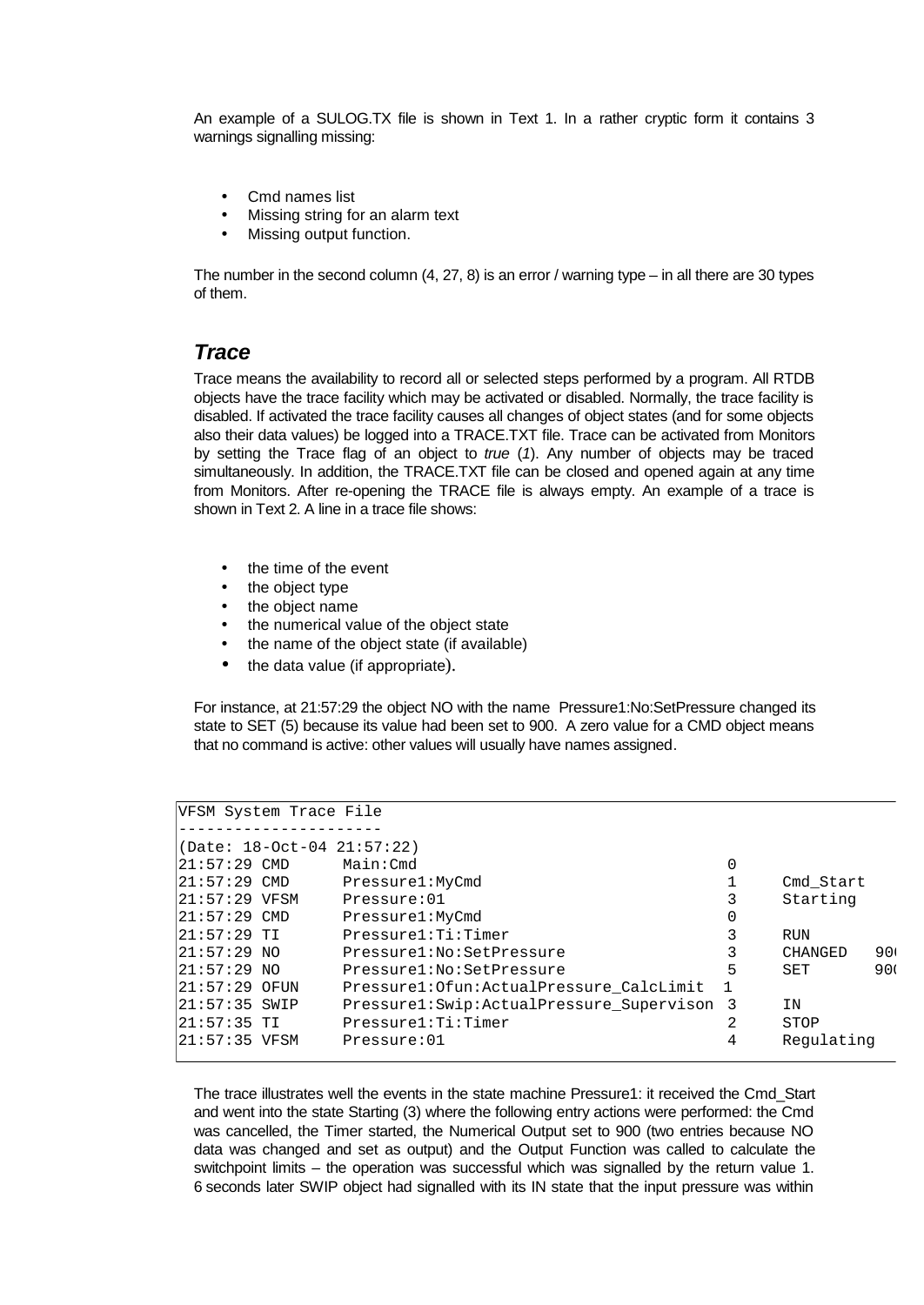An example of a SULOG.TX file is shown in Text 1. In a rather cryptic form it contains 3 warnings signalling missing:

- Cmd names list
- Missing string for an alarm text
- Missing output function.

The number in the second column (4, 27, 8) is an error / warning type – in all there are 30 types of them.

#### *Trace*

Trace means the availability to record all or selected steps performed by a program. All RTDB objects have the trace facility which may be activated or disabled. Normally, the trace facility is disabled. If activated the trace facility causes all changes of object states (and for some objects also their data values) be logged into a TRACE.TXT file. Trace can be activated from Monitors by setting the Trace flag of an object to *true* (*1*). Any number of objects may be traced simultaneously. In addition, the TRACE.TXT file can be closed and opened again at any time from Monitors. After re-opening the TRACE file is always empty. An example of a trace is shown in Text 2. A line in a trace file shows:

- the time of the event
- the object type
- the object name
- the numerical value of the object state
- the name of the object state (if available)
- the data value (if appropriate).

For instance, at 21:57:29 the object NO with the name Pressure1:No:SetPressure changed its state to SET (5) because its value had been set to 900. A zero value for a CMD object means that no command is active: other values will usually have names assigned.

|                | VFSM System Trace File     |                                             |               |            |                 |
|----------------|----------------------------|---------------------------------------------|---------------|------------|-----------------|
|                | (Date: 18-Oct-04 21:57:22) |                                             |               |            |                 |
| $21:57:29$ CMD |                            | Main:Cmd                                    | 0             |            |                 |
| $21:57:29$ CMD |                            | Pressure1:MyCmd                             |               | Cmd Start  |                 |
| 21:57:29 VFSM  |                            | Pressure:01                                 | 3             | Starting   |                 |
| $21:57:29$ CMD |                            | Pressure1:MyCmd                             | 0             |            |                 |
| $21:57:29$ TI  |                            | Pressure1:Ti:Timer                          | 3             | RUN        |                 |
| $21:57:29$ NO  |                            | Pressure1:No:SetPressure                    | 3             | CHANGED    | 90 <sub>1</sub> |
| $21:57:29$ NO  |                            | Pressure1:No:SetPressure                    | 5             | SET        | 900             |
| 21:57:29 OFUN  |                            | Pressure1: Of un: Actual Pressure CalcLimit |               |            |                 |
| 21:57:35 SWIP  |                            | Pressure1:Swip:ActualPressure Supervison 3  |               | ΙN         |                 |
| $21:57:35$ TI  |                            | Pressure1:Ti:Timer                          | $\mathcal{L}$ | STOP       |                 |
| 21:57:35 VFSM  |                            | Pressure:01                                 | 4             | Regulating |                 |

The trace illustrates well the events in the state machine Pressure1: it received the Cmd\_Start and went into the state Starting (3) where the following entry actions were performed: the Cmd was cancelled, the Timer started, the Numerical Output set to 900 (two entries because NO data was changed and set as output) and the Output Function was called to calculate the switchpoint limits – the operation was successful which was signalled by the return value 1. 6 seconds later SWIP object had signalled with its IN state that the input pressure was within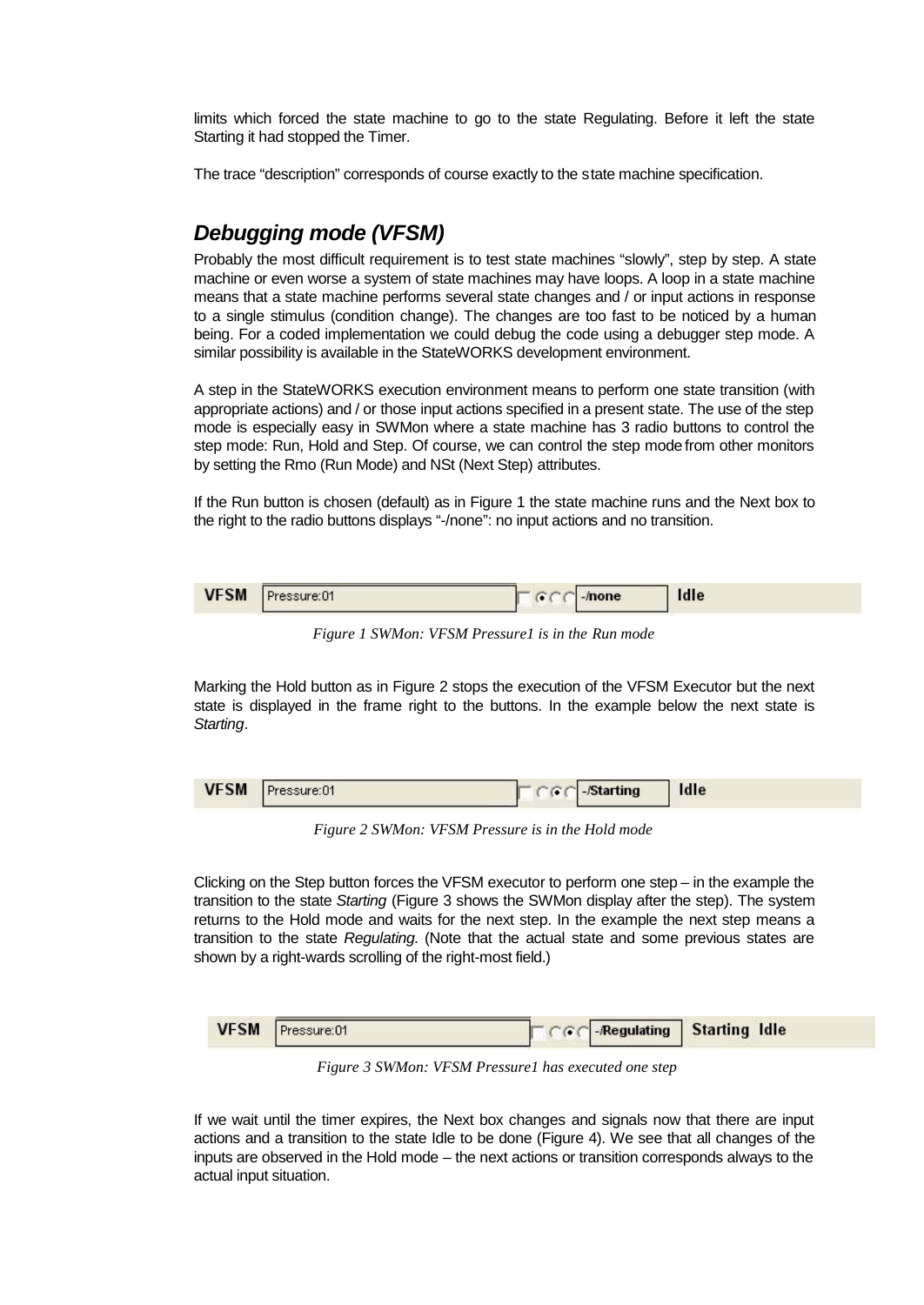limits which forced the state machine to go to the state Regulating. Before it left the state Starting it had stopped the Timer.

The trace "description" corresponds of course exactly to the state machine specification.

# *Debugging mode (VFSM)*

Probably the most difficult requirement is to test state machines "slowly", step by step. A state machine or even worse a system of state machines may have loops. A loop in a state machine means that a state machine performs several state changes and / or input actions in response to a single stimulus (condition change). The changes are too fast to be noticed by a human being. For a coded implementation we could debug the code using a debugger step mode. A similar possibility is available in the StateWORKS development environment.

A step in the StateWORKS execution environment means to perform one state transition (with appropriate actions) and / or those input actions specified in a present state. The use of the step mode is especially easy in SWMon where a state machine has 3 radio buttons to control the step mode: Run, Hold and Step. Of course, we can control the step mode from other monitors by setting the Rmo (Run Mode) and NSt (Next Step) attributes.

If the Run button is chosen (default) as in Figure 1 the state machine runs and the Next box to the right to the radio buttons displays "-/none": no input actions and no transition.

|  | <b>VFSM</b> | Pressure:01 | mone | Idle |
|--|-------------|-------------|------|------|
|--|-------------|-------------|------|------|

*Figure 1 SWMon: VFSM Pressure1 is in the Run mode*

Marking the Hold button as in Figure 2 stops the execution of the VFSM Executor but the next state is displayed in the frame right to the buttons. In the example below the next state is *Starting*.

| <b>VFSM</b> | $\Box$ -/Starting | Idle |  |
|-------------|-------------------|------|--|
|             |                   |      |  |

*Figure 2 SWMon: VFSM Pressure is in the Hold mode*

Clicking on the Step button forces the VFSM executor to perform one step – in the example the transition to the state *Starting* (Figure 3 shows the SWMon display after the step). The system returns to the Hold mode and waits for the next step. In the example the next step means a transition to the state *Regulating*. (Note that the actual state and some previous states are shown by a right-wards scrolling of the right-most field.)

| <b>VFSM</b> | Pressure:01 |  | <b>CGC-Regulating Starting Idle</b> |
|-------------|-------------|--|-------------------------------------|
|             |             |  |                                     |

*Figure 3 SWMon: VFSM Pressure1 has executed one step*

If we wait until the timer expires, the Next box changes and signals now that there are input actions and a transition to the state Idle to be done (Figure 4). We see that all changes of the inputs are observed in the Hold mode – the next actions or transition corresponds always to the actual input situation.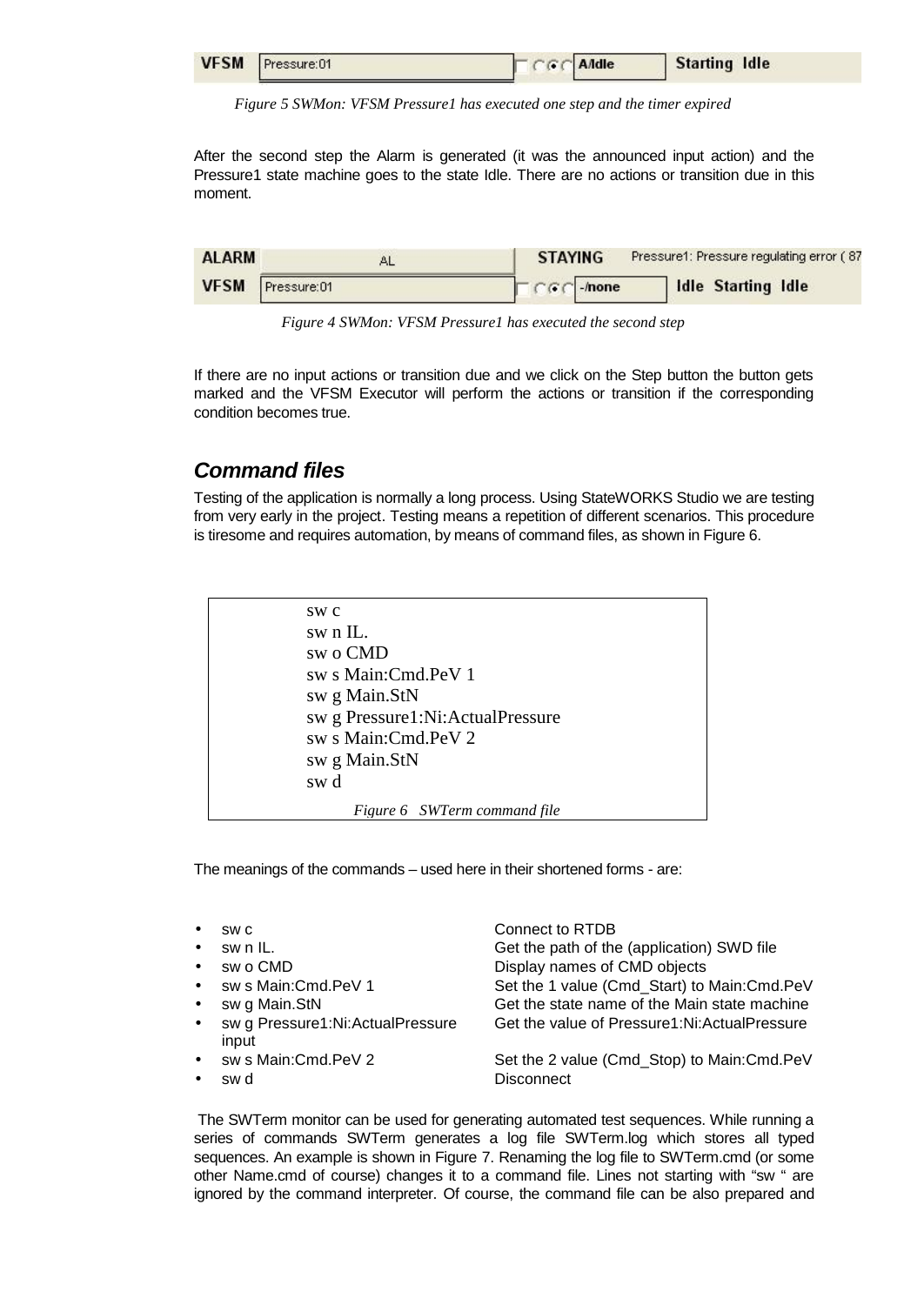| VFSM Pressure:01 | TCGCA | Starting Idle |  |
|------------------|-------|---------------|--|
|                  |       |               |  |

*Figure 5 SWMon: VFSM Pressure1 has executed one step and the timer expired*

After the second step the Alarm is generated (it was the announced input action) and the Pressure1 state machine goes to the state Idle. There are no actions or transition due in this moment.

| <b>ALARM</b> |                  | <b>STAYING</b>                                   | Pressure1: Pressure regulating error (87 |
|--------------|------------------|--------------------------------------------------|------------------------------------------|
|              | VFSM Pressure:01 | $\Box$ $\cap$ $\cap$ $\cap$ $\Box$ $\cap$ $\cap$ | Idle Starting Idle                       |

*Figure 4 SWMon: VFSM Pressure1 has executed the second step*

If there are no input actions or transition due and we click on the Step button the button gets marked and the VFSM Executor will perform the actions or transition if the corresponding condition becomes true.

#### *Command files*

Testing of the application is normally a long process. Using StateWORKS Studio we are testing from very early in the project. Testing means a repetition of different scenarios. This procedure is tiresome and requires automation, by means of command files, as shown in Figure 6.

| SW C                             |
|----------------------------------|
| sw n IL.                         |
| sw o CMD                         |
| sw s Main:Cmd.PeV 1              |
| sw g Main.StN                    |
| sw g Pressure1:Ni:ActualPressure |
| sw s Main:Cmd.PeV 2              |
| sw g Main.StN                    |
| sw d                             |
| Figure 6 SWTerm command file     |
|                                  |

The meanings of the commands – used here in their shortened forms - are:

| $\bullet$ | SW C                                      | Connect to RTDB                              |
|-----------|-------------------------------------------|----------------------------------------------|
| $\bullet$ | sw n IL.                                  | Get the path of the (application) SWD file   |
| $\bullet$ | sw o CMD                                  | Display names of CMD objects                 |
|           | • sw s Main: Cmd. PeV 1                   | Set the 1 value (Cmd_Start) to Main:Cmd.PeV  |
| $\bullet$ | sw g Main.StN                             | Get the state name of the Main state machine |
| $\bullet$ | sw g Pressure1:Ni:ActualPressure<br>input | Get the value of Pressure1:Ni:ActualPressure |
|           | • sw s Main: Cmd. PeV 2                   | Set the 2 value (Cmd Stop) to Main:Cmd.PeV   |
|           | sw d                                      | Disconnect                                   |

The SWTerm monitor can be used for generating automated test sequences. While running a series of commands SWTerm generates a log file SWTerm.log which stores all typed sequences. An example is shown in Figure 7. Renaming the log file to SWTerm.cmd (or some other Name.cmd of course) changes it to a command file. Lines not starting with "sw " are ignored by the command interpreter. Of course, the command file can be also prepared and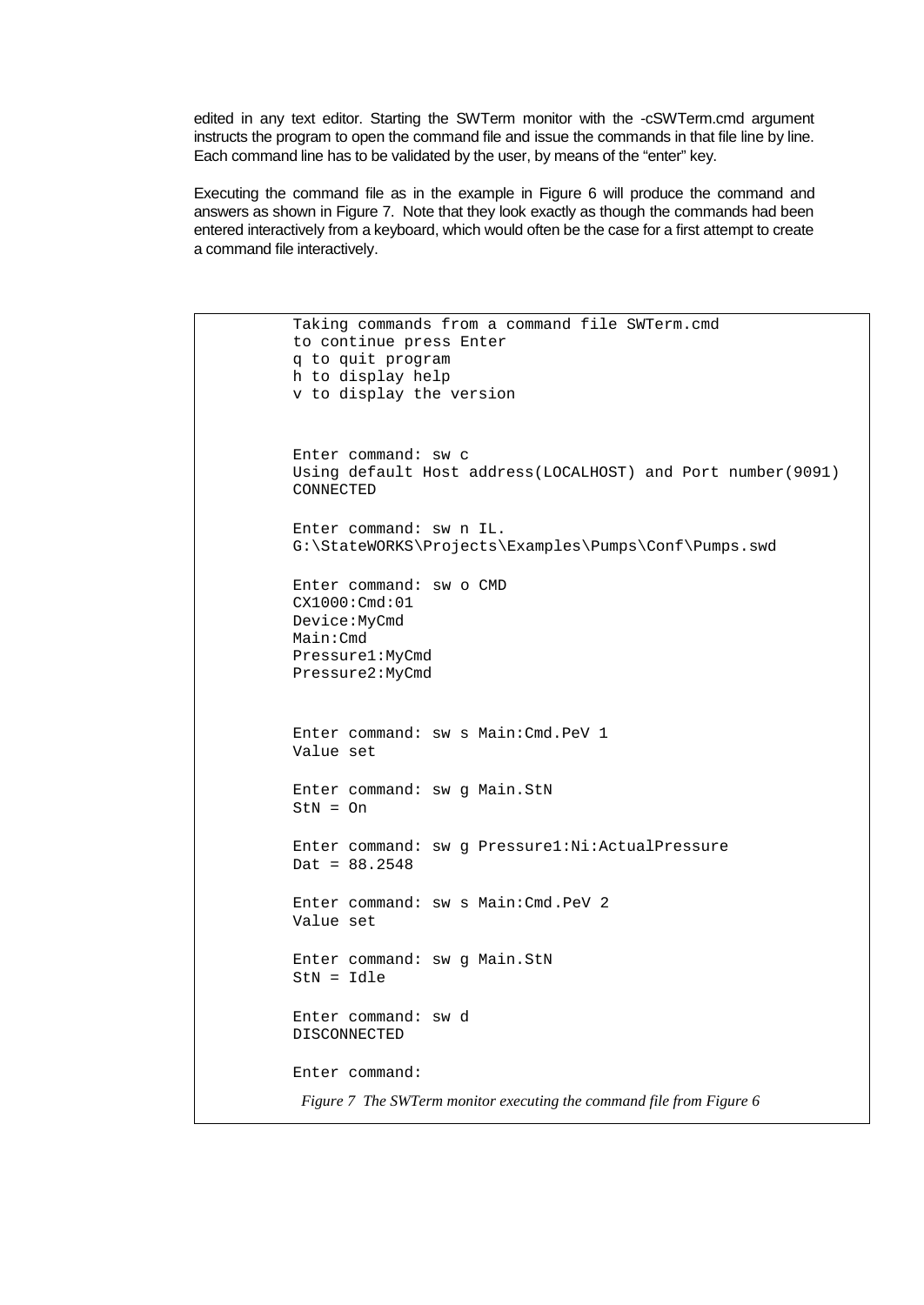edited in any text editor. Starting the SWTerm monitor with the -cSWTerm.cmd argument instructs the program to open the command file and issue the commands in that file line by line. Each command line has to be validated by the user, by means of the "enter" key.

Executing the command file as in the example in Figure 6 will produce the command and answers as shown in Figure 7. Note that they look exactly as though the commands had been entered interactively from a keyboard, which would often be the case for a first attempt to create a command file interactively.

```
Taking commands from a command file SWTerm.cmd
to continue press Enter
q to quit program
h to display help
v to display the version
Enter command: sw c
Using default Host address(LOCALHOST) and Port number(9091)
CONNECTED
Enter command: sw n IL.
G:\StateWORKS\Projects\Examples\Pumps\Conf\Pumps.swd
Enter command: sw o CMD
CX1000:Cmd:01
Device:MyCmd
Main:Cmd
Pressure1:MyCmd
Pressure2:MyCmd
Enter command: sw s Main:Cmd.PeV 1
Value set
Enter command: sw g Main.StN
StN = OnEnter command: sw g Pressure1:Ni:ActualPressure
\text{Det} = 88.2548Enter command: sw s Main:Cmd.PeV 2
Value set
Enter command: sw g Main.StN
StN = Idle
Enter command: sw d
DISCONNECTED
Enter command:
 Figure 7 The SWTerm monitor executing the command file from Figure 6
```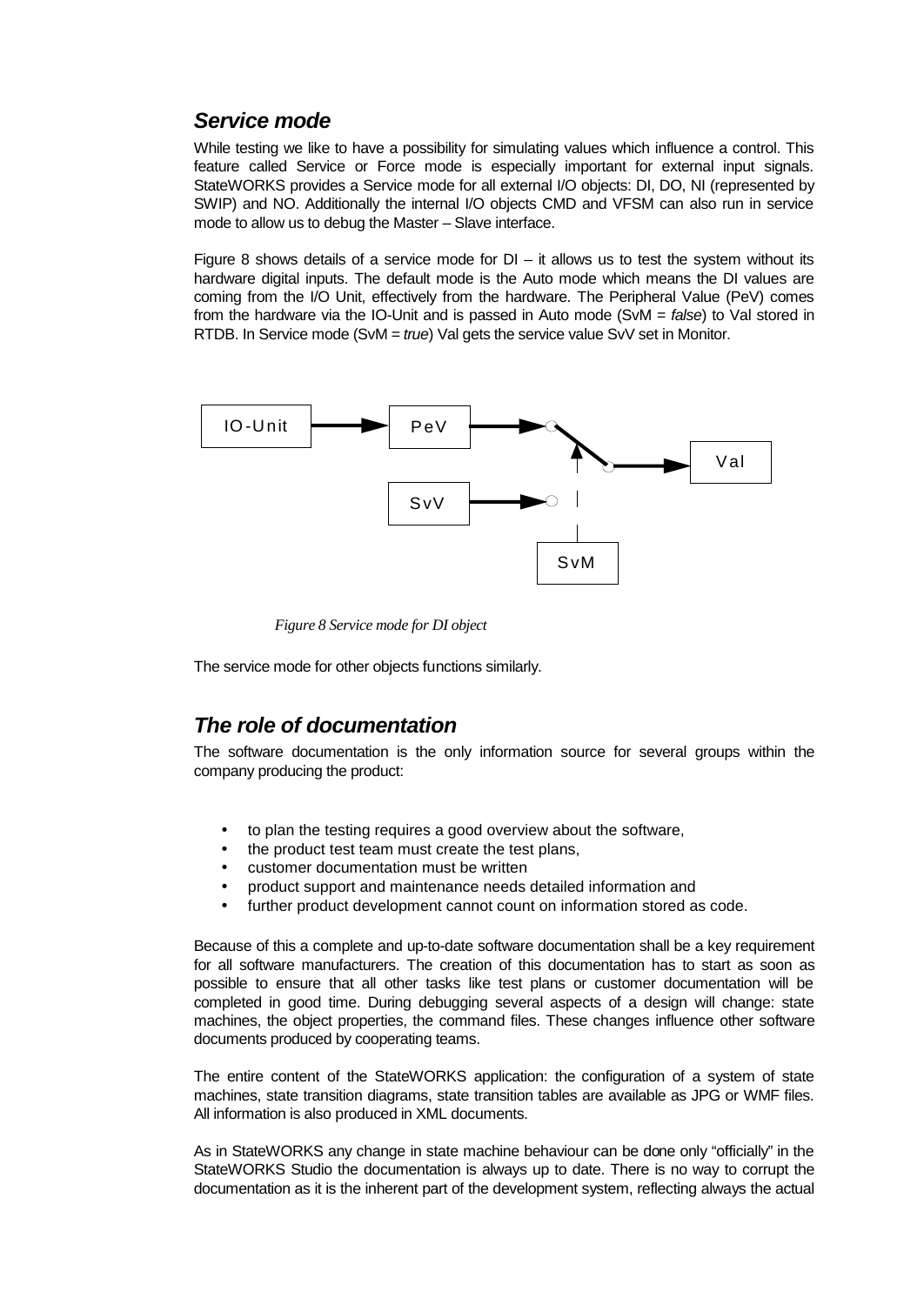### *Service mode*

While testing we like to have a possibility for simulating values which influence a control. This feature called Service or Force mode is especially important for external input signals. StateWORKS provides a Service mode for all external I/O objects: DI, DO, NI (represented by SWIP) and NO. Additionally the internal I/O objects CMD and VFSM can also run in service mode to allow us to debug the Master – Slave interface.

Figure 8 shows details of a service mode for  $DI - it$  allows us to test the system without its hardware digital inputs. The default mode is the Auto mode which means the DI values are coming from the I/O Unit, effectively from the hardware. The Peripheral Value (PeV) comes from the hardware via the IO-Unit and is passed in Auto mode (SvM = *false*) to Val stored in RTDB. In Service mode (SvM = *true*) Val gets the service value SvV set in Monitor.



*Figure 8 Service mode for DI object*

The service mode for other objects functions similarly.

### *The role of documentation*

The software documentation is the only information source for several groups within the company producing the product:

- to plan the testing requires a good overview about the software,
- the product test team must create the test plans.
- customer documentation must be written
- product support and maintenance needs detailed information and
- further product development cannot count on information stored as code.

Because of this a complete and up-to-date software documentation shall be a key requirement for all software manufacturers. The creation of this documentation has to start as soon as possible to ensure that all other tasks like test plans or customer documentation will be completed in good time. During debugging several aspects of a design will change: state machines, the object properties, the command files. These changes influence other software documents produced by cooperating teams.

The entire content of the StateWORKS application: the configuration of a system of state machines, state transition diagrams, state transition tables are available as JPG or WMF files. All information is also produced in XML documents.

As in StateWORKS any change in state machine behaviour can be done only "officially" in the StateWORKS Studio the documentation is always up to date. There is no way to corrupt the documentation as it is the inherent part of the development system, reflecting always the actual